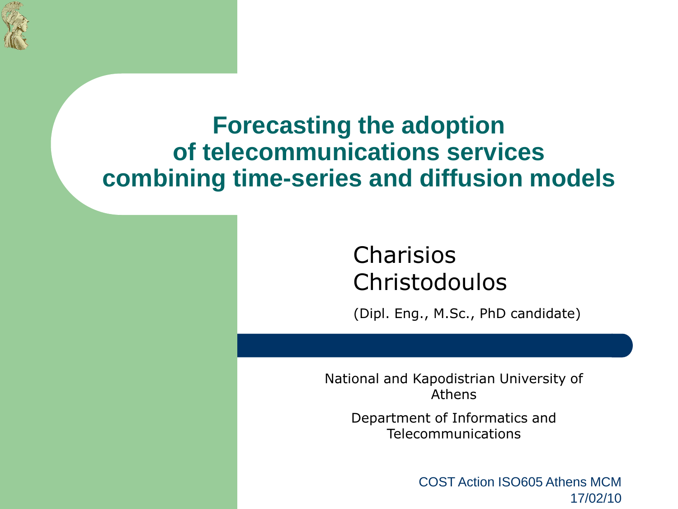

## **Forecasting the adoption of telecommunications services combining time-series and diffusion models**

## Charisios Christodoulos

(Dipl. Eng., M.Sc., PhD candidate)

National and Kapodistrian University of Athens

> Department of Informatics and Telecommunications

> > COST Action ISO605 Athens MCM 17/02/10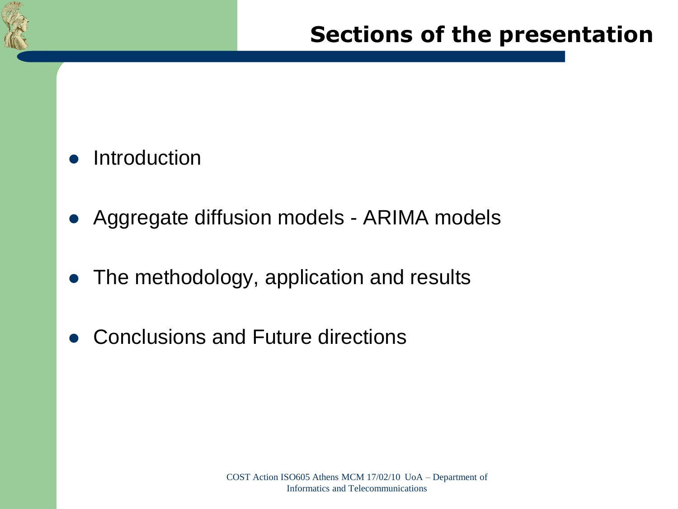

#### Introduction

- Aggregate diffusion models ARIMA models
- The methodology, application and results
- Conclusions and Future directions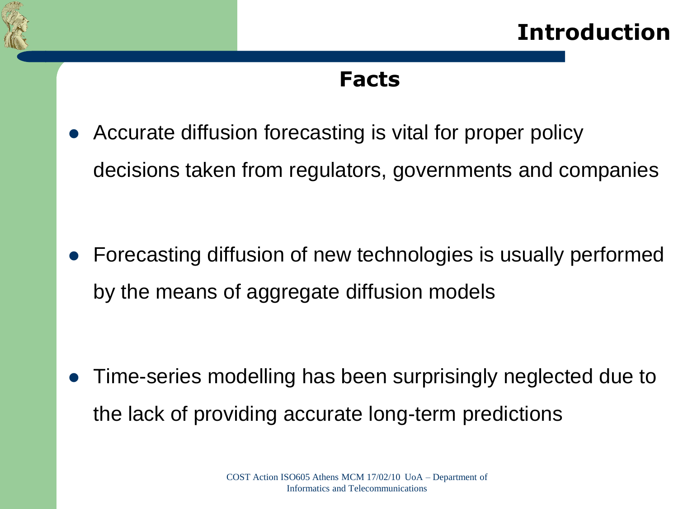

#### **Facts**

 Accurate diffusion forecasting is vital for proper policy decisions taken from regulators, governments and companies

 Forecasting diffusion of new technologies is usually performed by the means of aggregate diffusion models

 Time-series modelling has been surprisingly neglected due to the lack of providing accurate long-term predictions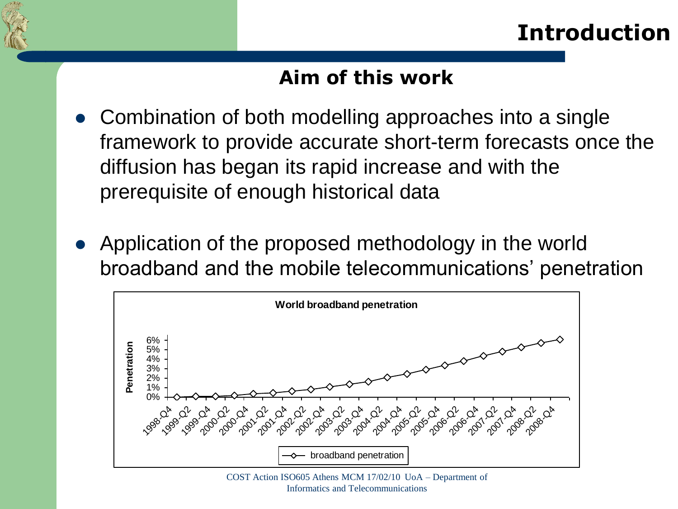

#### **Aim of this work**

- Combination of both modelling approaches into a single framework to provide accurate short-term forecasts once the diffusion has began its rapid increase and with the prerequisite of enough historical data
- Application of the proposed methodology in the world broadband and the mobile telecommunications' penetration



COST Action ISO605 Athens MCM 17/02/10 UoA – Department of Informatics and Telecommunications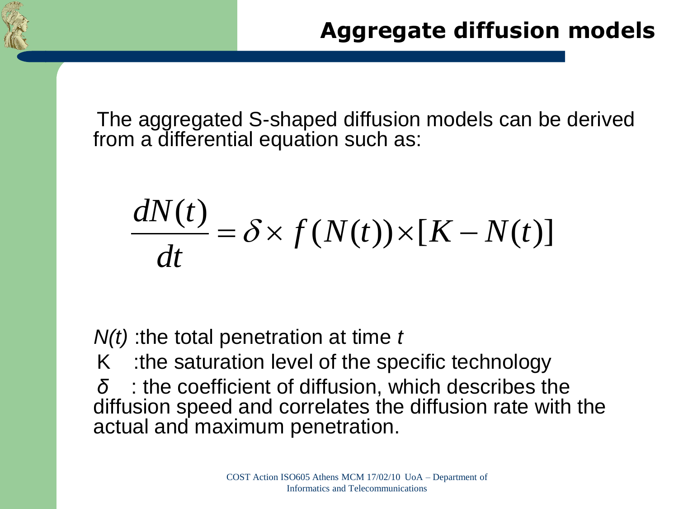

The aggregated S-shaped diffusion models can be derived from a differential equation such as:

$$
\frac{dN(t)}{dt} = \delta \times f(N(t)) \times [K - N(t)]
$$

*N(t)* :the total penetration at time *t*

K :the saturation level of the specific technology

*δ* : the coefficient of diffusion, which describes the diffusion speed and correlates the diffusion rate with the actual and maximum penetration.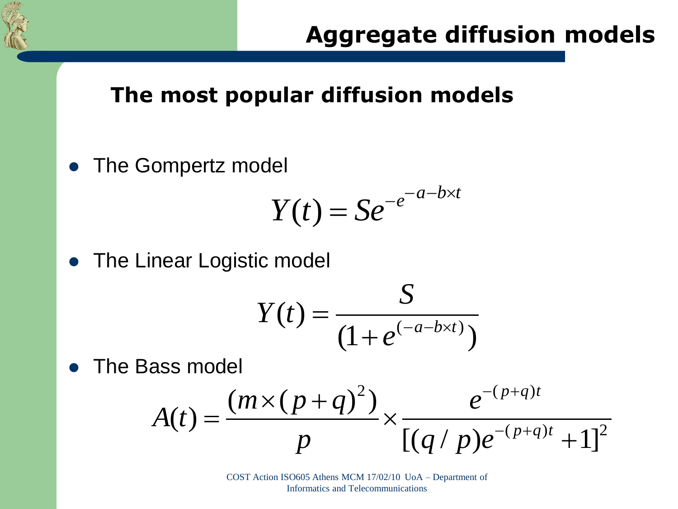

### **The most popular diffusion models**

• The Gompertz model

$$
Y(t) = S e^{-e^{-a-b \times t}}
$$

• The Linear Logistic model

$$
Y(t) = \frac{S}{(1+e^{(-a-b\times t)})}
$$

The Bass model

ass model  
\n
$$
A(t) = \frac{(m \times (p+q)^2)}{p} \times \frac{e^{-(p+q)t}}{[(q/p)e^{-(p+q)t}+1]^2}
$$

COST Action ISO605 Athens MCM 17/02/10 UoA – Department of Informatics and Telecommunications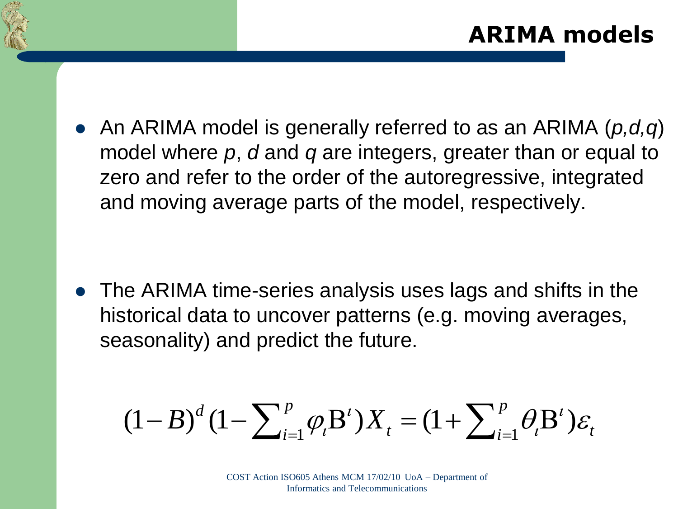

 An ARIMA model is generally referred to as an ARIMA (*p,d,q*) model where *p*, *d* and *q* are integers, greater than or equal to zero and refer to the order of the autoregressive, integrated and moving average parts of the model, respectively.

• The ARIMA time-series analysis uses lags and shifts in the historical data to uncover patterns (e.g. moving averages, seasonality) and predict the future.

asonality) and predict the future.  
\n
$$
(1 - B)^d (1 - \sum_{i=1}^p \varphi_i B^i) X_t = (1 + \sum_{i=1}^p \theta_i B^i) \varepsilon_t
$$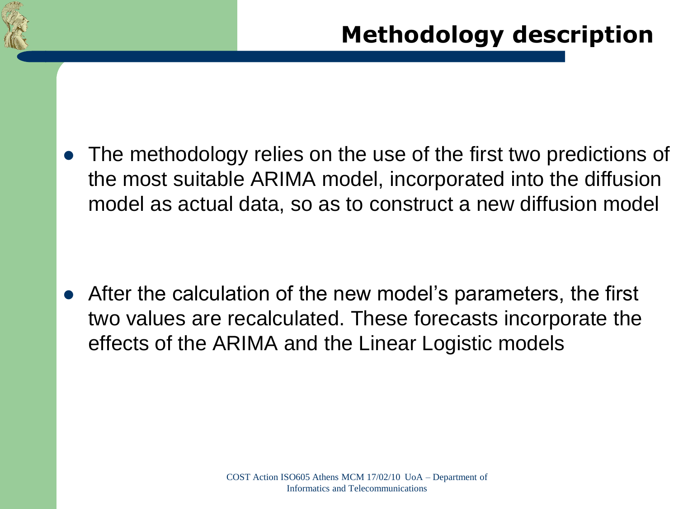

 The methodology relies on the use of the first two predictions of the most suitable ARIMA model, incorporated into the diffusion model as actual data, so as to construct a new diffusion model

 After the calculation of the new model's parameters, the first two values are recalculated. These forecasts incorporate the effects of the ARIMA and the Linear Logistic models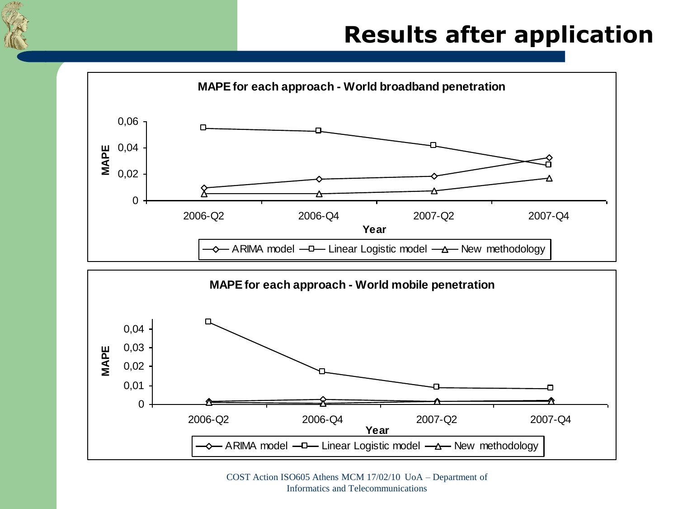

## **Results after application**



COST Action ISO605 Athens MCM 17/02/10 UoA – Department of Informatics and Telecommunications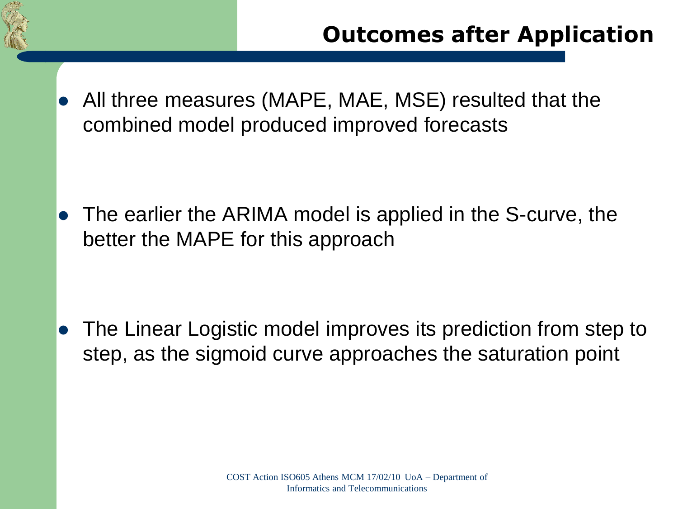

 All three measures (MAPE, MAE, MSE) resulted that the combined model produced improved forecasts

 The earlier the ARIMA model is applied in the S-curve, the better the MAPE for this approach

 The Linear Logistic model improves its prediction from step to step, as the sigmoid curve approaches the saturation point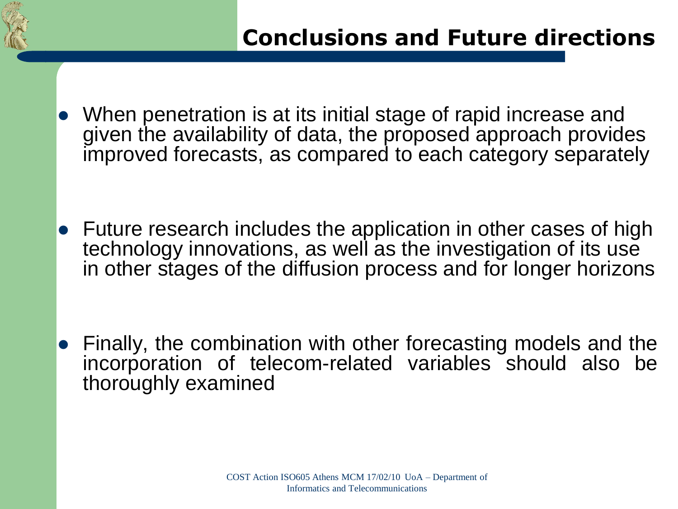

- When penetration is at its initial stage of rapid increase and given the availability of data, the proposed approach provides improved forecasts, as compared to each category separately
- Future research includes the application in other cases of high technology innovations, as well as the investigation of its use in other stages of the diffusion process and for longer horizons

 Finally, the combination with other forecasting models and the incorporation of telecom-related variables should also be thoroughly examined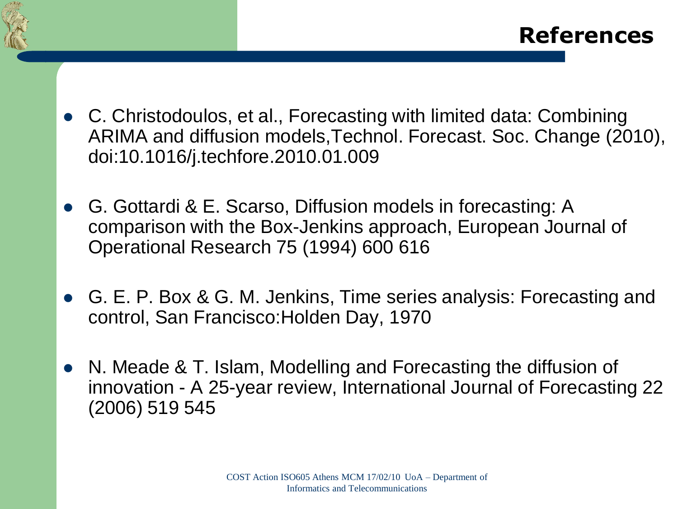

- C. Christodoulos, et al., Forecasting with limited data: Combining ARIMA and diffusion models,Technol. Forecast. Soc. Change (2010), doi:10.1016/j.techfore.2010.01.009
- G. Gottardi & E. Scarso, Diffusion models in forecasting: A comparison with the Box-Jenkins approach, European Journal of Operational Research 75 (1994) 600 616
- G. E. P. Box & G. M. Jenkins, Time series analysis: Forecasting and control, San Francisco:Holden Day, 1970
- N. Meade & T. Islam, Modelling and Forecasting the diffusion of innovation - A 25-year review, International Journal of Forecasting 22 (2006) 519 545